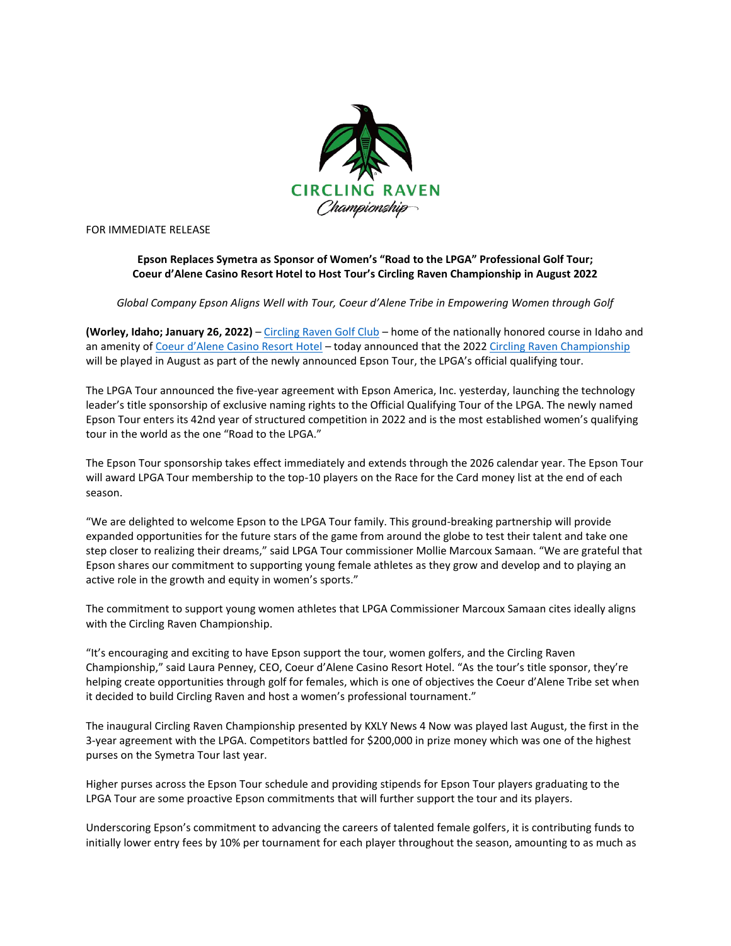

FOR IMMEDIATE RELEASE

# **Epson Replaces Symetra as Sponsor of Women's "Road to the LPGA" Professional Golf Tour; Coeur d'Alene Casino Resort Hotel to Host Tour's Circling Raven Championship in August 2022**

*Global Company Epson Aligns Well with Tour, Coeur d'Alene Tribe in Empowering Women through Golf*

**(Worley, Idaho; January 26, 2022)** – [Circling Raven Golf Club](http://www.cdacasino.com/golf) – home of the nationally honored course in Idaho and an amenity of [Coeur d'Alene Casino Resort Hotel](http://www.cdacasino.com/) – today announced that the 2022 [Circling Raven Championship](https://www.cdacasino.com/golf/circlingravenchampionship/) will be played in August as part of the newly announced Epson Tour, the LPGA's official qualifying tour.

The LPGA Tour announced the five-year agreement with Epson America, Inc. yesterday, launching the technology leader's title sponsorship of exclusive naming rights to the Official Qualifying Tour of the LPGA. The newly named Epson Tour enters its 42nd year of structured competition in 2022 and is the most established women's qualifying tour in the world as the one "Road to the LPGA."

The Epson Tour sponsorship takes effect immediately and extends through the 2026 calendar year. The Epson Tour will award LPGA Tour membership to the top-10 players on the Race for the Card money list at the end of each season.

"We are delighted to welcome Epson to the LPGA Tour family. This ground-breaking partnership will provide expanded opportunities for the future stars of the game from around the globe to test their talent and take one step closer to realizing their dreams," said LPGA Tour commissioner Mollie Marcoux Samaan. "We are grateful that Epson shares our commitment to supporting young female athletes as they grow and develop and to playing an active role in the growth and equity in women's sports."

The commitment to support young women athletes that LPGA Commissioner Marcoux Samaan cites ideally aligns with the Circling Raven Championship.

"It's encouraging and exciting to have Epson support the tour, women golfers, and the Circling Raven Championship," said Laura Penney, CEO, Coeur d'Alene Casino Resort Hotel. "As the tour's title sponsor, they're helping create opportunities through golf for females, which is one of objectives the Coeur d'Alene Tribe set when it decided to build Circling Raven and host a women's professional tournament."

The inaugural Circling Raven Championship presented by KXLY News 4 Now was played last August, the first in the 3-year agreement with the LPGA. Competitors battled for \$200,000 in prize money which was one of the highest purses on the Symetra Tour last year.

Higher purses across the Epson Tour schedule and providing stipends for Epson Tour players graduating to the LPGA Tour are some proactive Epson commitments that will further support the tour and its players.

Underscoring Epson's commitment to advancing the careers of talented female golfers, it is contributing funds to initially lower entry fees by 10% per tournament for each player throughout the season, amounting to as much as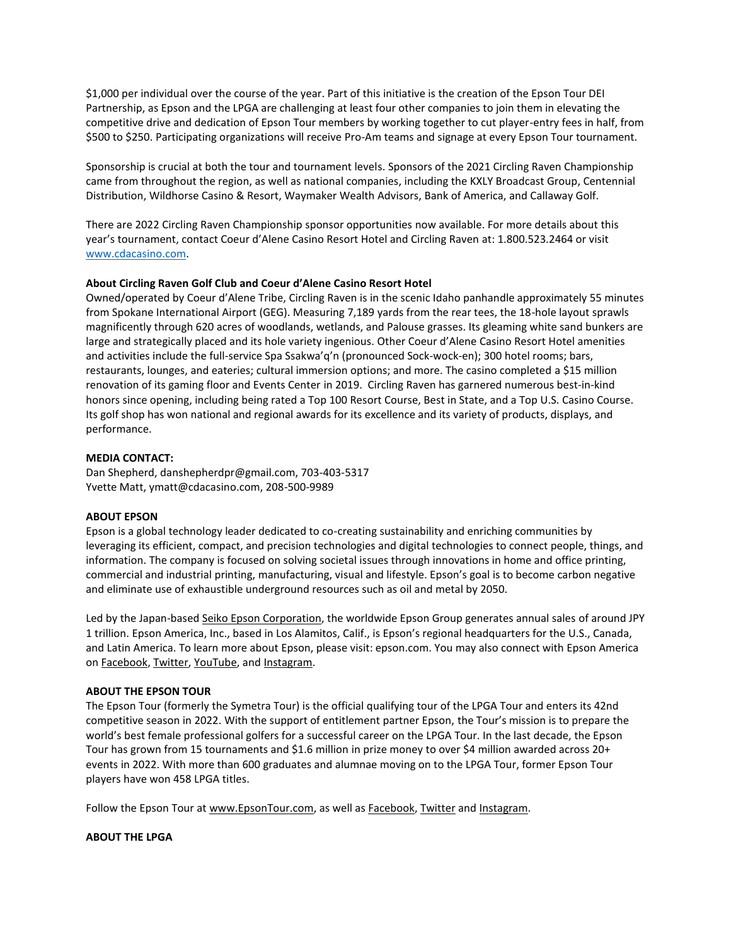\$1,000 per individual over the course of the year. Part of this initiative is the creation of the Epson Tour DEI Partnership, as Epson and the LPGA are challenging at least four other companies to join them in elevating the competitive drive and dedication of Epson Tour members by working together to cut player-entry fees in half, from \$500 to \$250. Participating organizations will receive Pro-Am teams and signage at every Epson Tour tournament.

Sponsorship is crucial at both the tour and tournament levels. Sponsors of the 2021 Circling Raven Championship came from throughout the region, as well as national companies, including the KXLY Broadcast Group, Centennial Distribution, Wildhorse Casino & Resort, Waymaker Wealth Advisors, Bank of America, and Callaway Golf.

There are 2022 Circling Raven Championship sponsor opportunities now available. For more details about this year's tournament, contact Coeur d'Alene Casino Resort Hotel and Circling Raven at: 1.800.523.2464 or visit [www.cdacasino.com.](http://www.cdacasino.com/)

## **About Circling Raven Golf Club and Coeur d'Alene Casino Resort Hotel**

Owned/operated by Coeur d'Alene Tribe, Circling Raven is in the scenic Idaho panhandle approximately 55 minutes from Spokane International Airport (GEG). Measuring 7,189 yards from the rear tees, the 18-hole layout sprawls magnificently through 620 acres of woodlands, wetlands, and Palouse grasses. Its gleaming white sand bunkers are large and strategically placed and its hole variety ingenious. Other Coeur d'Alene Casino Resort Hotel amenities and activities include the full-service Spa Ssakwa'q'n (pronounced Sock-wock-en); 300 hotel rooms; bars, restaurants, lounges, and eateries; cultural immersion options; and more. The casino completed a \$15 million renovation of its gaming floor and Events Center in 2019. Circling Raven has garnered numerous best-in-kind honors since opening, including being rated a Top 100 Resort Course, Best in State, and a Top U.S. Casino Course. Its golf shop has won national and regional awards for its excellence and its variety of products, displays, and performance.

### **MEDIA CONTACT:**

Dan Shepherd, danshepherdpr@gmail.com, 703-403-5317 Yvette Matt, ymatt@cdacasino.com, 208-500-9989

### **ABOUT EPSON**

Epson is a global technology leader dedicated to co-creating sustainability and enriching communities by leveraging its efficient, compact, and precision technologies and digital technologies to connect people, things, and information. The company is focused on solving societal issues through innovations in home and office printing, commercial and industrial printing, manufacturing, visual and lifestyle. Epson's goal is to become carbon negative and eliminate use of exhaustible underground resources such as oil and metal by 2050.

Led by the Japan-based [Seiko Epson Corporation,](https://u7061146.ct.sendgrid.net/ls/click?upn=CVi7es-2FCNK-2FU4f58lHsDTs29c2zL0OQ3Au2LHJBlUv0Av0Xnj-2FbXE7yj3Q-2BnkUCsDkZI_khQLtpoKBaIXcJHfVLidOOxqage1rB4EzxWKWaU8cWU438fMbAiOlJCsol7pdF46qDOkJhlXF-2BJbZmXCdij-2FfIWtUR0dxej6gi2iZDJ3Ajzablin09MYAxGN0QKvmaC1JzFilXFbBWlIMvwlOViLTSJppZO6FsKmtuV4XyPs6WD1LuQsThRJ-2FghMAtkkFYZ-2BYIAAbEzfQVkrVBTcoyhE0W0gxt2okDGNrJmDgZ2HTHabNUVOzW3rMpvntM8pxaqIa58KRZKQxDy6O6U9xrda7vNl-2BNfAUd87Y4JiT1v8Ck-2FWDY8PFCdG3LbxNKjRygvEVoxtWS0J0ybqWenCF4j0gZHxy0-2BfIKVtB-2Fq1Vhy7Fhs-3D) the worldwide Epson Group generates annual sales of around JPY 1 trillion. Epson America, Inc., based in Los Alamitos, Calif., is Epson's regional headquarters for the U.S., Canada, and Latin America. To learn more about Epson, please visit: epson.com. You may also connect with Epson America on [Facebook,](https://u7061146.ct.sendgrid.net/ls/click?upn=IXpWEgevNLSukxaiYCwbUBQ9jYfkwSsrX1ZMIFYJFhCxk-2B560jsPTs-2FMGnyiGJW7c9vP_khQLtpoKBaIXcJHfVLidOOxqage1rB4EzxWKWaU8cWU438fMbAiOlJCsol7pdF46qDOkJhlXF-2BJbZmXCdij-2FfIWtUR0dxej6gi2iZDJ3Ajzablin09MYAxGN0QKvmaC1JzFilXFbBWlIMvwlOViLTSJppZO6FsKmtuV4XyPs6WD1LuQsThRJ-2FghMAtkkFYZ-2BYIAAbEzfQVkrVBTcoyhE0VXkLMaOLEDjuHV6Q3OQkLQZVmuUBQG0jtCBIiRmBeHGlQwjjWC2vhmGQhiZg3yMyAkFiMPDYNzRKoLGx-2FNeKkR1tlhDEZtJI8WrSS5jNzGO7FSaNmwLiHqYNGWpSK1z3b9TsEc9uGmX7FVoFWwxxjg-3D) [Twitter,](https://u7061146.ct.sendgrid.net/ls/click?upn=iesGENwk9ZVmCixsbOYoOL3vTW-2FL0r3uirWXlDxRdSf-2FKllcftW1nH5Jiw27z8KnW60A_khQLtpoKBaIXcJHfVLidOOxqage1rB4EzxWKWaU8cWU438fMbAiOlJCsol7pdF46qDOkJhlXF-2BJbZmXCdij-2FfIWtUR0dxej6gi2iZDJ3Ajzablin09MYAxGN0QKvmaC1JzFilXFbBWlIMvwlOViLTSJppZO6FsKmtuV4XyPs6WD1LuQsThRJ-2FghMAtkkFYZ-2BYIAAbEzfQVkrVBTcoyhE0QsdPXP-2Bpa1rbIqMFNZ-2BIZDXV0eQiXgN1jU9M7q-2FnSoMX2u3bE8tDKeygN1jxo-2BUpeI5csMUm2NQ38fCUs4MWzRx3GriRlb5h83tn2ncm1JdpFyoIIXKJ4wU7wjk5Oi6p1p2aFIxEsgrhdwDrbWAZqI-3D) [YouTube,](https://u7061146.ct.sendgrid.net/ls/click?upn=N-2B6g7SPmfzaSJfnY-2F4F7v1-2BncJadnG5l066XObB7UweX69ng-2FP0qlM38BXo5BvsVurRZ_khQLtpoKBaIXcJHfVLidOOxqage1rB4EzxWKWaU8cWU438fMbAiOlJCsol7pdF46qDOkJhlXF-2BJbZmXCdij-2FfIWtUR0dxej6gi2iZDJ3Ajzablin09MYAxGN0QKvmaC1JzFilXFbBWlIMvwlOViLTSJppZO6FsKmtuV4XyPs6WD1LuQsThRJ-2FghMAtkkFYZ-2BYIAAbEzfQVkrVBTcoyhE0T5El0ihu-2FfNfzouOgfXRvlEIUIh909E6MEnQo0kfOZjC-2FQGk6-2FqU5kqrzGMA3cyPTwU261kIcqnHSWFhCijENihCQKC3DouVXIlJHo2gcAqffNJvd-2Bn8VArgbATWI-2FU9Dur8o0HsoKgZYqODOUNJW8-3D) and [Instagram.](https://u7061146.ct.sendgrid.net/ls/click?upn=fqhy0MMaq18lyVSU5ZOY3YF145wdD-2B8LzC2ostTQKHj-2F8qdOW2dEgcvzbmXy-2B86mfeoV_khQLtpoKBaIXcJHfVLidOOxqage1rB4EzxWKWaU8cWU438fMbAiOlJCsol7pdF46qDOkJhlXF-2BJbZmXCdij-2FfIWtUR0dxej6gi2iZDJ3Ajzablin09MYAxGN0QKvmaC1JzFilXFbBWlIMvwlOViLTSJppZO6FsKmtuV4XyPs6WD1LuQsThRJ-2FghMAtkkFYZ-2BYIAAbEzfQVkrVBTcoyhE0V7hY-2F6UKXzYprLdA-2BY0ja8D-2Fy1AGbvB8uieOiJvmu2yNOr0Ykl4lsAbu4-2FksZit7KeqCHkXBvyeQHdBU3fPQdW059wmazEyI4tC-2FcRoTJ7lhh58Z0t0Z7NazHUYMf772vW2p0oBePk14-2FD1MJUZowE-3D)

### **ABOUT THE EPSON TOUR**

The Epson Tour (formerly the Symetra Tour) is the official qualifying tour of the LPGA Tour and enters its 42nd competitive season in 2022. With the support of entitlement partner Epson, the Tour's mission is to prepare the world's best female professional golfers for a successful career on the LPGA Tour. In the last decade, the Epson Tour has grown from 15 tournaments and \$1.6 million in prize money to over \$4 million awarded across 20+ events in 2022. With more than 600 graduates and alumnae moving on to the LPGA Tour, former Epson Tour players have won 458 LPGA titles.

Follow the Epson Tour at [www.EpsonTour.com,](https://u7061146.ct.sendgrid.net/ls/click?upn=TeZUXWpUv-2B6TCY38pVLo9oTJYGoqZ9oAMHe3yXJfkQoFtm-2FQyeHc2bvVXY1bS5OKX61m_khQLtpoKBaIXcJHfVLidOOxqage1rB4EzxWKWaU8cWU438fMbAiOlJCsol7pdF46qDOkJhlXF-2BJbZmXCdij-2FfIWtUR0dxej6gi2iZDJ3Ajzablin09MYAxGN0QKvmaC1JzFilXFbBWlIMvwlOViLTSJppZO6FsKmtuV4XyPs6WD1LuQsThRJ-2FghMAtkkFYZ-2BYIAAbEzfQVkrVBTcoyhE0dczn5r3AEnUWiofkTGM8Lf2HgBVA8TFjnToV1dDvO9-2B-2ByEKIb-2B9nSPIdWnECWF0eLX9V4iJrsCgH1Jg-2BvZpnW6gD8W-2BVPkpwtnMPnuRuarro4wa9fsUk-2Bzv0AxA0WAE7HRcZlw5rw0AEqIMQVJSZOA-3D) as well as [Facebook,](https://u7061146.ct.sendgrid.net/ls/click?upn=IXpWEgevNLSukxaiYCwbUO2Aizq9tSLlVJlKrVU-2FfwpJuIX3JigoxyH5m9bJUECs9Gkp_khQLtpoKBaIXcJHfVLidOOxqage1rB4EzxWKWaU8cWU438fMbAiOlJCsol7pdF46qDOkJhlXF-2BJbZmXCdij-2FfIWtUR0dxej6gi2iZDJ3Ajzablin09MYAxGN0QKvmaC1JzFilXFbBWlIMvwlOViLTSJppZO6FsKmtuV4XyPs6WD1LuQsThRJ-2FghMAtkkFYZ-2BYIAAbEzfQVkrVBTcoyhE0XhCRgDnRKDBKb8pTkGGdyFy5y7415f9lgySxWgjwQLHQ2itizpmzGpti19TPThhaAr9qbRMfroUmAUTCpo9ej76qv-2F30FV64OrsEfLbhMuFLC-2BIhP4C7T8lXBccAwfHBbZpqvJxu3PVl0-2B4brOUuPk-3D) [Twitter](https://u7061146.ct.sendgrid.net/ls/click?upn=iesGENwk9ZVmCixsbOYoOFRfsn6GrcLr4nuqrOq83s8KOcNHzyYYhLu9s21OzgdBcvXX_khQLtpoKBaIXcJHfVLidOOxqage1rB4EzxWKWaU8cWU438fMbAiOlJCsol7pdF46qDOkJhlXF-2BJbZmXCdij-2FfIWtUR0dxej6gi2iZDJ3Ajzablin09MYAxGN0QKvmaC1JzFilXFbBWlIMvwlOViLTSJppZO6FsKmtuV4XyPs6WD1LuQsThRJ-2FghMAtkkFYZ-2BYIAAbEzfQVkrVBTcoyhE0eXRNNfWgWQv2KEeTWs-2BCFo-2FhHGFq2S1q2xX8KebO-2FQKkpUzf9Iz6h-2FGqTzgZVrAhmX12HDIEz-2FshQxFd9B1ZCecp1wWHNRDURSHro4FWqWSOGkW1fl-2F19LGheksTMviC9SywPG5eQ6Eylxbt2AXGgA-3D) and [Instagram.](https://u7061146.ct.sendgrid.net/ls/click?upn=4tNED-2FM8iDZJQyQ53jATUQbhiplhjyl4QcRwNc7RzVQ4LAtYds9dE-2B8RMTxAIZWRY4gX_khQLtpoKBaIXcJHfVLidOOxqage1rB4EzxWKWaU8cWU438fMbAiOlJCsol7pdF46qDOkJhlXF-2BJbZmXCdij-2FfIWtUR0dxej6gi2iZDJ3Ajzablin09MYAxGN0QKvmaC1JzFilXFbBWlIMvwlOViLTSJppZO6FsKmtuV4XyPs6WD1LuQsThRJ-2FghMAtkkFYZ-2BYIAAbEzfQVkrVBTcoyhE0SyU-2FiCcJLWV67waZxv7MDwyltEn-2F8NM33lSajEYNag2kU64DF24JNshJti45F42ZWCfzKqyQa7QfPeDz-2BGPOzp1gb-2BudopOCRBGWcJSTKjjfjg92-2BxeTl7dzkHfZ1aXkdv82U5Oxio11m40OhNpMVk-3D)

### **ABOUT THE LPGA**